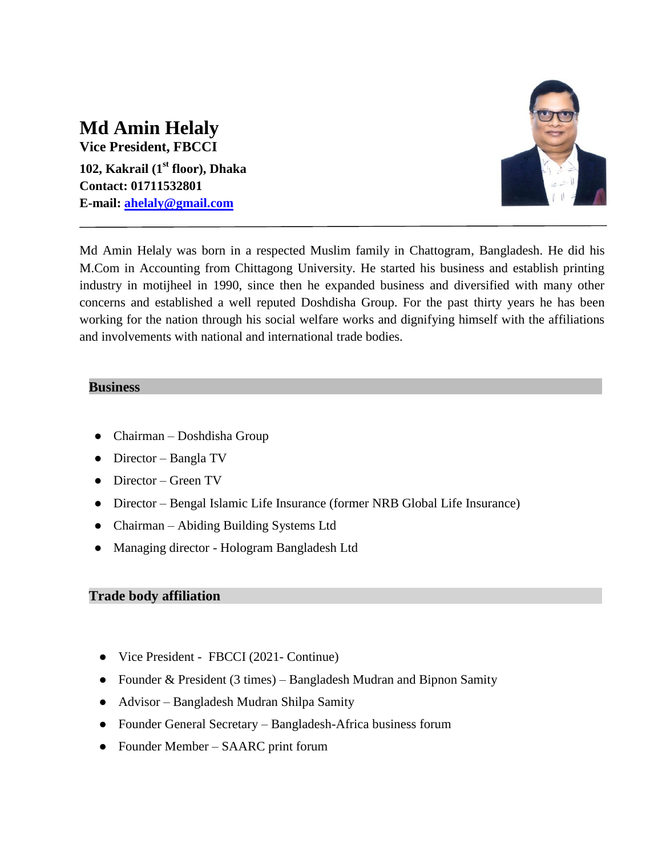# **Md Amin Helaly**

**Vice President, FBCCI 102, Kakrail (1st floor), Dhaka Contact: 01711532801 E-mail: [ahelaly@gmail.com](mailto:ahelaly@gmail.com)**



Md Amin Helaly was born in a respected Muslim family in Chattogram, Bangladesh. He did his M.Com in Accounting from Chittagong University. He started his business and establish printing industry in motijheel in 1990, since then he expanded business and diversified with many other concerns and established a well reputed Doshdisha Group. For the past thirty years he has been working for the nation through his social welfare works and dignifying himself with the affiliations and involvements with national and international trade bodies.

#### **Business**

- Chairman Doshdisha Group
- Director Bangla TV
- Director Green TV
- Director Bengal Islamic Life Insurance (former NRB Global Life Insurance)
- Chairman Abiding Building Systems Ltd
- Managing director Hologram Bangladesh Ltd

### **Trade body affiliation**

- Vice President FBCCI (2021- Continue)
- Founder & President (3 times) Bangladesh Mudran and Bipnon Samity
- Advisor Bangladesh Mudran Shilpa Samity
- Founder General Secretary Bangladesh-Africa business forum
- Founder Member SAARC print forum